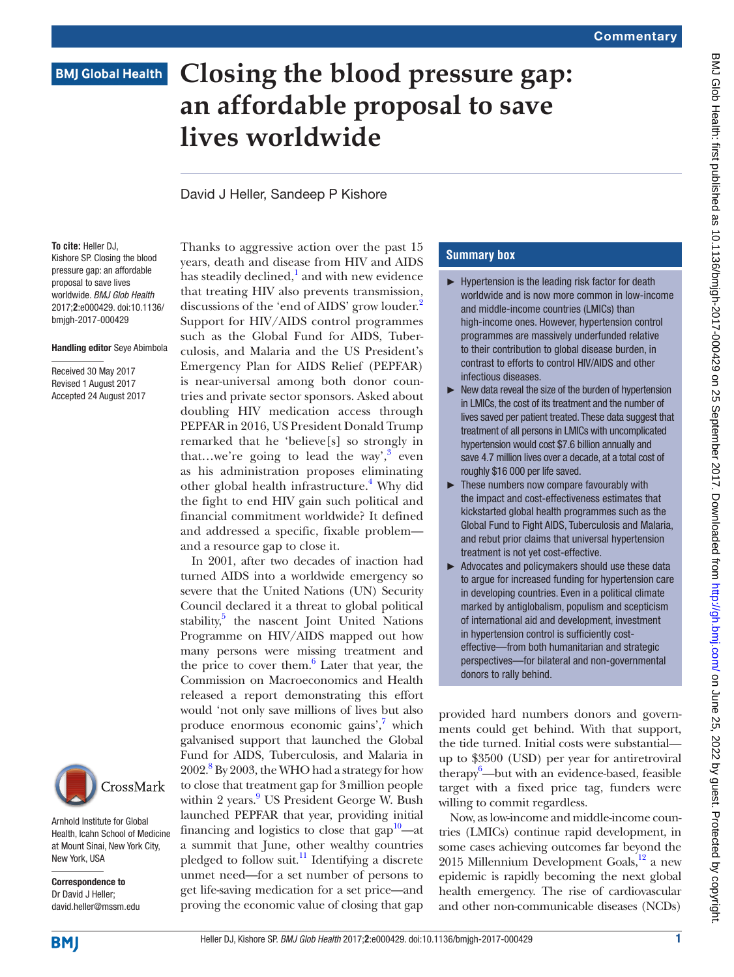# **BMJ Global Health**

# **Closing the blood pressure gap: an affordable proposal to save lives worldwide**

David J Heller, Sandeep P Kishore

**To cite:** Heller DJ, Kishore SP. Closing the blood pressure gap: an affordable proposal to save lives worldwide. *BMJ Glob Health* 2017;**2**:e000429. doi:10.1136/ bmjgh-2017-000429

#### Handling editor Seye Abimbola

Received 30 May 2017 Revised 1 August 2017 Accepted 24 August 2017



Arnhold Institute for Global Health, Icahn School of Medicine at Mount Sinai, New York City, New York, USA

Correspondence to Dr David J Heller; david.heller@mssm.edu

Thanks to aggressive action over the past 15 years, death and disease from HIV and AIDS has steadily declined, $^1$  $^1$  and with new evidence that treating HIV also prevents transmission, discussions of the 'end of AIDS' grow louder.<sup>[2](#page-2-1)</sup> Support for HIV/AIDS control programmes such as the Global Fund for AIDS, Tuberculosis, and Malaria and the US President's Emergency Plan for AIDS Relief (PEPFAR) is near-universal among both donor countries and private sector sponsors. Asked about doubling HIV medication access through PEPFAR in 2016, US President Donald Trump remarked that he 'believe[s] so strongly in that...we're going to lead the way',  $3$  even as his administration proposes eliminating other global health infrastructure.<sup>[4](#page-2-3)</sup> Why did the fight to end HIV gain such political and financial commitment worldwide? It defined and addressed a specific, fixable problem and a resource gap to close it.

In 2001, after two decades of inaction had turned AIDS into a worldwide emergency so severe that the United Nations (UN) Security Council declared it a threat to global political stability,<sup>5</sup> the nascent Joint United Nations Programme on HIV/AIDS mapped out how many persons were missing treatment and the price to cover them.<sup>6</sup> Later that year, the Commission on Macroeconomics and Health released a report demonstrating this effort would 'not only save millions of lives but also produce enormous economic gains',<sup>[7](#page-2-6)</sup> which galvanised support that launched the Global Fund for AIDS, Tuberculosis, and Malaria in 2002.<sup>8</sup> By 2003, the WHO had a strategy for how to close that treatment gap for 3million people within 2 years.<sup>[9](#page-2-8)</sup> US President George W. Bush launched PEPFAR that year, providing initial financing and logistics to close that  $\text{gap}^1$ —at a summit that June, other wealthy countries pledged to follow suit.<sup>[11](#page-2-10)</sup> Identifying a discrete unmet need—for a set number of persons to get life-saving medication for a set price—and proving the economic value of closing that gap

## **Summary box**

- ► Hypertension is the leading risk factor for death worldwide and is now more common in low-income and middle-income countries (LMICs) than high-income ones. However, hypertension control programmes are massively underfunded relative to their contribution to global disease burden, in contrast to efforts to control HIV/AIDS and other infectious diseases.
- $\blacktriangleright$  New data reveal the size of the burden of hypertension in LMICs, the cost of its treatment and the number of lives saved per patient treated. These data suggest that treatment of all persons in LMICs with uncomplicated hypertension would cost \$7.6 billion annually and save 4.7 million lives over a decade, at a total cost of roughly \$16 000 per life saved.
- ► These numbers now compare favourably with the impact and cost-effectiveness estimates that kickstarted global health programmes such as the Global Fund to Fight AIDS, Tuberculosis and Malaria, and rebut prior claims that universal hypertension treatment is not yet cost-effective.
- ► Advocates and policymakers should use these data to argue for increased funding for hypertension care in developing countries. Even in a political climate marked by antiglobalism, populism and scepticism of international aid and development, investment in hypertension control is sufficiently costeffective—from both humanitarian and strategic perspectives—for bilateral and non-governmental donors to rally behind.

provided hard numbers donors and governments could get behind. With that support, the tide turned. Initial costs were substantial up to \$3500 (USD) per year for antiretroviral therapy<sup>6</sup>—but with an evidence-based, feasible target with a fixed price tag, funders were willing to commit regardless.

Now, as low-income and middle-income countries (LMICs) continue rapid development, in some cases achieving outcomes far beyond the 2015 Millennium Development Goals, $^{12}$  a new epidemic is rapidly becoming the next global health emergency. The rise of cardiovascular and other non-communicable diseases (NCDs)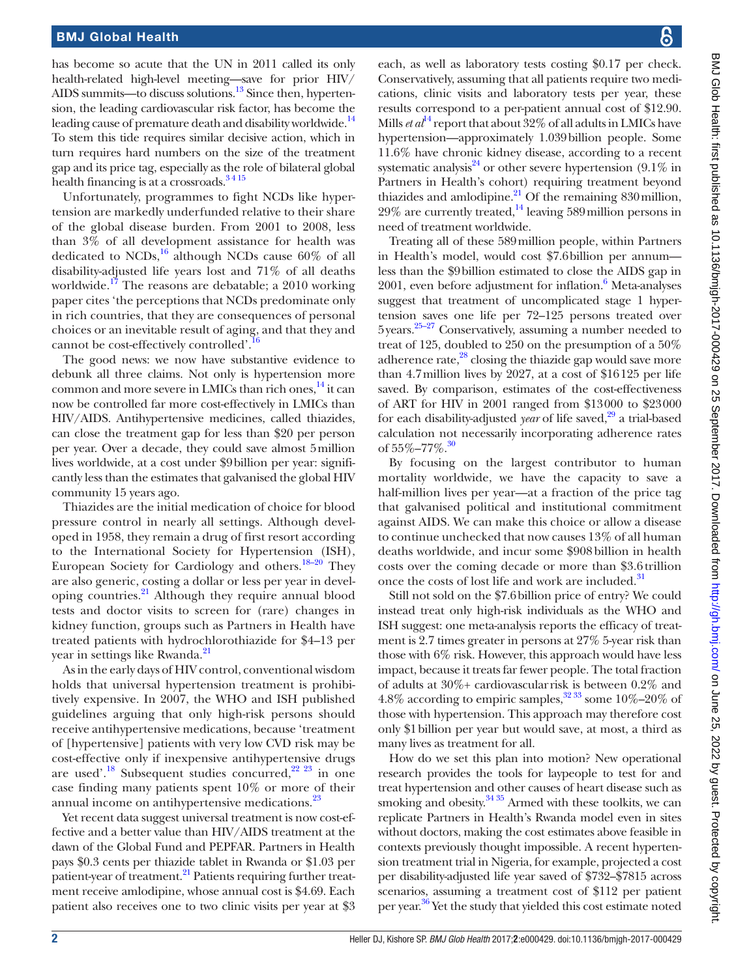has become so acute that the UN in 2011 called its only health-related high-level meeting—save for prior HIV/ AIDS summits—to discuss solutions.<sup>13</sup> Since then, hypertension, the leading cardiovascular risk factor, has become the leading cause of premature death and disability worldwide.<sup>[14](#page-2-13)</sup> To stem this tide requires similar decisive action, which in turn requires hard numbers on the size of the treatment gap and its price tag, especially as the role of bilateral global health financing is at a crossroads.<sup>3415</sup>

Unfortunately, programmes to fight NCDs like hypertension are markedly underfunded relative to their share of the global disease burden. From 2001 to 2008, less than 3% of all development assistance for health was dedicated to  $NCDs$ ,<sup>16</sup> although NCDs cause 60% of all disability-adjusted life years lost and 71% of all deaths worldwide.[17](#page-2-15) The reasons are debatable; a 2010 working paper cites 'the perceptions that NCDs predominate only in rich countries, that they are consequences of personal choices or an inevitable result of aging, and that they and cannot be cost-effectively controlled'[.16](#page-2-14)

The good news: we now have substantive evidence to debunk all three claims. Not only is hypertension more common and more severe in LMICs than rich ones, $^{14}$  $^{14}$  $^{14}$  it can now be controlled far more cost-effectively in LMICs than HIV/AIDS. Antihypertensive medicines, called thiazides, can close the treatment gap for less than \$20 per person per year. Over a decade, they could save almost 5million lives worldwide, at a cost under \$9billion per year: significantly less than the estimates that galvanised the global HIV community 15 years ago.

Thiazides are the initial medication of choice for blood pressure control in nearly all settings. Although developed in 1958, they remain a drug of first resort according to the International Society for Hypertension (ISH), European Society for Cardiology and others[.18–20](#page-2-16) They are also generic, costing a dollar or less per year in developing countries.[21](#page-2-17) Although they require annual blood tests and doctor visits to screen for (rare) changes in kidney function, groups such as Partners in Health have treated patients with hydrochlorothiazide for \$4–13 per year in settings like Rwanda.<sup>[21](#page-2-17)</sup>

As in the early days of HIV control, conventional wisdom holds that universal hypertension treatment is prohibitively expensive. In 2007, the WHO and ISH published guidelines arguing that only high-risk persons should receive antihypertensive medications, because 'treatment of [hypertensive] patients with very low CVD risk may be cost-effective only if inexpensive antihypertensive drugs are used'.<sup>18</sup> Subsequent studies concurred,<sup>22 23</sup> in one case finding many patients spent 10% or more of their annual income on antihypertensive medications.<sup>[23](#page-2-19)</sup>

Yet recent data suggest universal treatment is now cost-effective and a better value than HIV/AIDS treatment at the dawn of the Global Fund and PEPFAR. Partners in Health pays \$0.3 cents per thiazide tablet in Rwanda or \$1.03 per patient-year of treatment.<sup>21</sup> Patients requiring further treatment receive amlodipine, whose annual cost is \$4.69. Each patient also receives one to two clinic visits per year at \$3

each, as well as laboratory tests costing \$0.17 per check. Conservatively, assuming that all patients require two medications, clinic visits and laboratory tests per year, these results correspond to a per-patient annual cost of \$12.90. Mills *et al*<sup>[14](#page-2-13)</sup> report that about 32% of all adults in LMICs have hypertension—approximately 1.039billion people. Some 11.6% have chronic kidney disease, according to a recent systematic analysis<sup>24</sup> or other severe hypertension  $(9.1\%$  in Partners in Health's cohort) requiring treatment beyond thiazides and amlodipine. $^{21}$  $^{21}$  $^{21}$  Of the remaining 830 million,  $29\%$  are currently treated,<sup>14</sup> leaving 589 million persons in need of treatment worldwide.

Treating all of these 589million people, within Partners in Health's model, would cost \$7.6billion per annum less than the \$9billion estimated to close the AIDS gap in 2001, even before adjustment for inflation.<sup>[6](#page-2-5)</sup> Meta-analyses suggest that treatment of uncomplicated stage 1 hypertension saves one life per 72–125 persons treated over  $5$ years.<sup>25–27</sup> Conservatively, assuming a number needed to treat of 125, doubled to 250 on the presumption of a 50% adherence rate, $^{28}$  closing the thiazide gap would save more than 4.7million lives by 2027, at a cost of \$16125 per life saved. By comparison, estimates of the cost-effectiveness of ART for HIV in 2001 ranged from \$13000 to \$23000 for each disability-adjusted *year* of life saved,<sup>29</sup> a trial-based calculation not necessarily incorporating adherence rates of  $55\% - 77\%$ .<sup>30</sup>

By focusing on the largest contributor to human mortality worldwide, we have the capacity to save a half-million lives per year—at a fraction of the price tag that galvanised political and institutional commitment against AIDS. We can make this choice or allow a disease to continue unchecked that now causes 13% of all human deaths worldwide, and incur some \$908billion in health costs over the coming decade or more than \$3.6trillion once the costs of lost life and work are included.<sup>[31](#page-3-2)</sup>

Still not sold on the \$7.6billion price of entry? We could instead treat only high-risk individuals as the WHO and ISH suggest: one meta-analysis reports the efficacy of treatment is 2.7 times greater in persons at 27% 5-year risk than those with 6% risk. However, this approach would have less impact, because it treats far fewer people. The total fraction of adults at 30%+ cardiovascularrisk is between 0.2% and 4.8% according to empiric samples,  $3233$  some 10%–20% of those with hypertension. This approach may therefore cost only \$1billion per year but would save, at most, a third as many lives as treatment for all.

How do we set this plan into motion? New operational research provides the tools for laypeople to test for and treat hypertension and other causes of heart disease such as smoking and obesity. $3435$  Armed with these toolkits, we can replicate Partners in Health's Rwanda model even in sites without doctors, making the cost estimates above feasible in contexts previously thought impossible. A recent hypertension treatment trial in Nigeria, for example, projected a cost per disability-adjusted life year saved of \$732–\$7815 across scenarios, assuming a treatment cost of \$112 per patient per year. [36](#page-3-5) Yet the study that yielded this cost estimate noted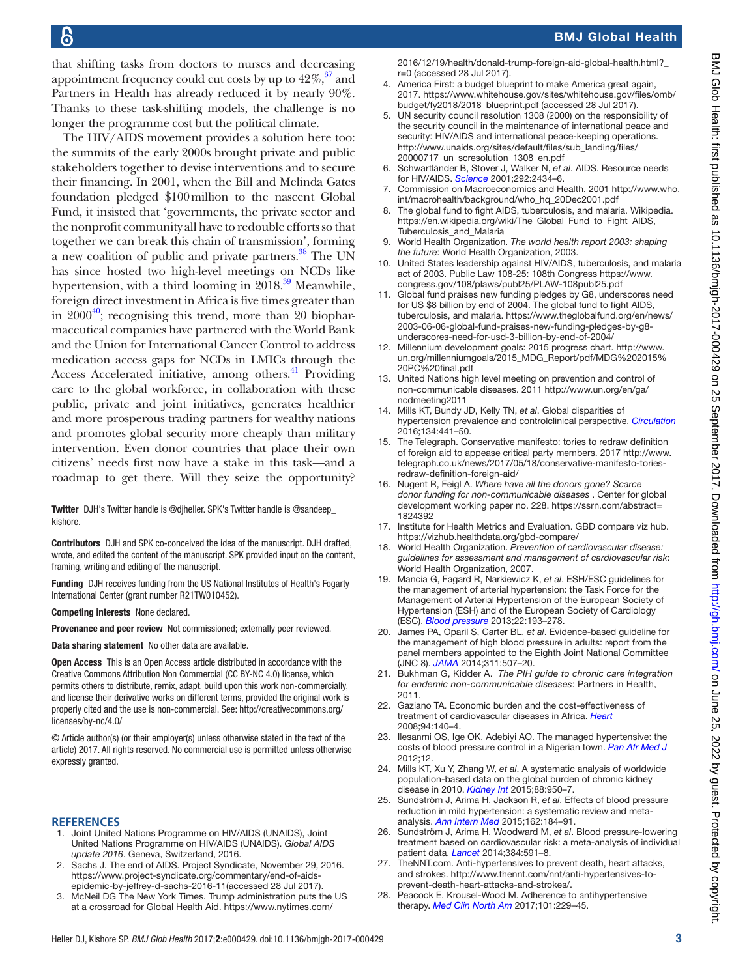that shifting tasks from doctors to nurses and decreasing appointment frequency could cut costs by up to  $42\%$ ,  $37$  and Partners in Health has already reduced it by nearly 90%. Thanks to these task-shifting models, the challenge is no longer the programme cost but the political climate.

The HIV/AIDS movement provides a solution here too: the summits of the early 2000s brought private and public stakeholders together to devise interventions and to secure their financing. In 2001, when the Bill and Melinda Gates foundation pledged \$100million to the nascent Global Fund, it insisted that 'governments, the private sector and the nonprofit community all have to redouble efforts so that together we can break this chain of transmission', forming a new coalition of public and private partners. $38$  The UN has since hosted two high-level meetings on NCDs like hypertension, with a third looming in  $2018.<sup>39</sup>$  $2018.<sup>39</sup>$  $2018.<sup>39</sup>$  Meanwhile, foreign direct investment in Africa is five times greater than in  $2000^{40}$  $2000^{40}$  $2000^{40}$ ; recognising this trend, more than 20 biopharmaceutical companies have partnered with the World Bank and the Union for International Cancer Control to address medication access gaps for NCDs in LMICs through the Access Accelerated initiative, among others.<sup>[41](#page-3-10)</sup> Providing care to the global workforce, in collaboration with these public, private and joint initiatives, generates healthier and more prosperous trading partners for wealthy nations and promotes global security more cheaply than military intervention. Even donor countries that place their own citizens' needs first now have a stake in this task—and a roadmap to get there. Will they seize the opportunity?

Twitter DJH's Twitter handle is @djheller. SPK's Twitter handle is @sandeep\_ kishore.

Contributors DJH and SPK co-conceived the idea of the manuscript. DJH drafted, wrote, and edited the content of the manuscript. SPK provided input on the content, framing, writing and editing of the manuscript.

Funding DJH receives funding from the US National Institutes of Health's Fogarty International Center (grant number R21TW010452).

Competing interests None declared.

Provenance and peer review Not commissioned; externally peer reviewed.

Data sharing statement No other data are available.

Open Access This is an Open Access article distributed in accordance with the Creative Commons Attribution Non Commercial (CC BY-NC 4.0) license, which permits others to distribute, remix, adapt, build upon this work non-commercially, and license their derivative works on different terms, provided the original work is properly cited and the use is non-commercial. See: [http://creativecommons.org/](http://creativecommons.org/licenses/by-nc/4.0/) [licenses/by-nc/4.0/](http://creativecommons.org/licenses/by-nc/4.0/)

© Article author(s) (or their employer(s) unless otherwise stated in the text of the article) 2017. All rights reserved. No commercial use is permitted unless otherwise expressly granted.

### **References**

- <span id="page-2-0"></span>1. Joint United Nations Programme on HIV/AIDS (UNAIDS), Joint United Nations Programme on HIV/AIDS (UNAIDS). *Global AIDS update 2016*. Geneva, Switzerland, 2016.
- <span id="page-2-1"></span>2. Sachs J. The end of AIDS. Project Syndicate, November 29, 2016. [https://www.project-syndicate.org/commentary/end-of-aids](https://www.project-syndicate.org/commentary/end-of-aids-epidemic-by-jeffrey-d-sachs-2016-11)[epidemic-by-jeffrey-d-sachs-2016-11\(](https://www.project-syndicate.org/commentary/end-of-aids-epidemic-by-jeffrey-d-sachs-2016-11)accessed 28 Jul 2017).
- <span id="page-2-2"></span>3. McNeil DG The New York Times. Trump administration puts the US at a crossroad for Global Health Aid. [https://www.nytimes.com/](https://www.nytimes.com/2016/12/19/health/donald-trump-foreign-aid-global-health.html?_r=0)

BMJ Global Health

- [2016/12/19/health/donald-trump-foreign-aid-global-health.html?\\_](https://www.nytimes.com/2016/12/19/health/donald-trump-foreign-aid-global-health.html?_r=0) [r=0](https://www.nytimes.com/2016/12/19/health/donald-trump-foreign-aid-global-health.html?_r=0) (accessed 28 Jul 2017). America First: a budget blueprint to make America great again,
- <span id="page-2-3"></span>2017. [https://www.whitehouse.gov/sites/whitehouse.gov/files/omb/](https://www.whitehouse.gov/sites/whitehouse.gov/files/omb/budget/fy2018/2018_blueprint.pdf) [budget/fy2018/2018\\_blueprint.pdf](https://www.whitehouse.gov/sites/whitehouse.gov/files/omb/budget/fy2018/2018_blueprint.pdf) (accessed 28 Jul 2017).
- <span id="page-2-4"></span>UN security council resolution 1308 (2000) on the responsibility of the security council in the maintenance of international peace and security: HIV/AIDS and international peace-keeping operations. [http://www.unaids.org/sites/default/files/sub\\_landing/files/](http://www.unaids.org/sites/default/files/sub_landing/files/20000717_un_scresolution_1308_en.pdf) [20000717\\_un\\_scresolution\\_1308\\_en.pdf](http://www.unaids.org/sites/default/files/sub_landing/files/20000717_un_scresolution_1308_en.pdf)
- <span id="page-2-5"></span>6. Schwartländer B, Stover J, Walker N, *et al*. AIDS. Resource needs for HIV/AIDS. *[Science](http://dx.doi.org/10.1126/science.1062876)* 2001;292:2434–6.
- <span id="page-2-6"></span>7. Commission on Macroeconomics and Health. 2001 [http://www.who.](http://www.who.int/macrohealth/background/who_hq_20Dec2001.pdf) [int/macrohealth/background/who\\_hq\\_20Dec2001.pdf](http://www.who.int/macrohealth/background/who_hq_20Dec2001.pdf)
- <span id="page-2-7"></span>8. The global fund to fight AIDS, tuberculosis, and malaria. Wikipedia. [https://en.wikipedia.org/wiki/The\\_Global\\_Fund\\_to\\_Fight\\_AIDS,\\_](https://en.wikipedia.org/wiki/The_Global_Fund_to_Fight_AIDS,_Tuberculosis_and_Malaria) [Tuberculosis\\_and\\_Malaria](https://en.wikipedia.org/wiki/The_Global_Fund_to_Fight_AIDS,_Tuberculosis_and_Malaria)
- <span id="page-2-8"></span>9. World Health Organization. *The world health report 2003: shaping the future*: World Health Organization, 2003.
- <span id="page-2-9"></span>10. United States leadership against HIV/AIDS, tuberculosis, and malaria act of 2003. Public Law 108-25: 108th Congress [https://www.](https://www.congress.gov/108/plaws/publ25/PLAW-108publ25.pdf) [congress.gov/108/plaws/publ25/PLAW-108publ25.pdf](https://www.congress.gov/108/plaws/publ25/PLAW-108publ25.pdf)
- <span id="page-2-10"></span>11. Global fund praises new funding pledges by G8, underscores need for US \$8 billion by end of 2004. The global fund to fight AIDS, tuberculosis, and malaria. [https://www.theglobalfund.org/en/news/](https://www.theglobalfund.org/en/news/2003-06-06-global-fund-praises-new-funding-pledges-by-g8-underscores-need-for-usd-3-billion-by-end-of-2004/) [2003-06-06-global-fund-praises-new-funding-pledges-by-g8](https://www.theglobalfund.org/en/news/2003-06-06-global-fund-praises-new-funding-pledges-by-g8-underscores-need-for-usd-3-billion-by-end-of-2004/) [underscores-need-for-usd-3-billion-by-end-of-2004/](https://www.theglobalfund.org/en/news/2003-06-06-global-fund-praises-new-funding-pledges-by-g8-underscores-need-for-usd-3-billion-by-end-of-2004/)
- <span id="page-2-11"></span>12. Millennium development goals: 2015 progress chart. [http://www.](http://www.un.org/millenniumgoals/2015_MDG_Report/pdf/MDG%202015%20PC%20final.pdf) [un.org/millenniumgoals/2015\\_MDG\\_Report/pdf/MDG%202015%](http://www.un.org/millenniumgoals/2015_MDG_Report/pdf/MDG%202015%20PC%20final.pdf) [20PC%20final.pdf](http://www.un.org/millenniumgoals/2015_MDG_Report/pdf/MDG%202015%20PC%20final.pdf)
- <span id="page-2-12"></span>13. United Nations high level meeting on prevention and control of non-communicable diseases. 2011 [http://www.un.org/en/ga/](http://www.un.org/en/ga/ncdmeeting2011) [ncdmeeting2011](http://www.un.org/en/ga/ncdmeeting2011)
- <span id="page-2-13"></span>14. Mills KT, Bundy JD, Kelly TN, *et al*. Global disparities of hypertension prevalence and controlclinical perspective. *[Circulation](http://dx.doi.org/10.1161/CIRCULATIONAHA.115.018912)* 2016;134:441–50.
- 15. The Telegraph. Conservative manifesto: tories to redraw definition of foreign aid to appease critical party members. 2017 [http://www.](http://www.telegraph.co.uk/news/2017/05/18/conservative-manifesto-tories-redraw-definition-foreign-aid/) [telegraph.co.uk/news/2017/05/18/conservative-manifesto-tories](http://www.telegraph.co.uk/news/2017/05/18/conservative-manifesto-tories-redraw-definition-foreign-aid/)[redraw-definition-foreign-aid/](http://www.telegraph.co.uk/news/2017/05/18/conservative-manifesto-tories-redraw-definition-foreign-aid/)
- <span id="page-2-14"></span>16. Nugent R, Feigl A. *Where have all the donors gone? Scarce donor funding for non-communicable diseases* . Center for global development working paper no. 228. [https://ssrn.com/abstract=](https://ssrn.com/abstract=1824392) [1824392](https://ssrn.com/abstract=1824392)
- <span id="page-2-15"></span>17. Institute for Health Metrics and Evaluation. GBD compare viz hub. <https://vizhub.healthdata.org/gbd-compare/>
- <span id="page-2-16"></span>18. World Health Organization. *Prevention of cardiovascular disease: guidelines for assessment and management of cardiovascular risk*: World Health Organization, 2007.
- 19. Mancia G, Fagard R, Narkiewicz K, *et al*. ESH/ESC guidelines for the management of arterial hypertension: the Task Force for the Management of Arterial Hypertension of the European Society of Hypertension (ESH) and of the European Society of Cardiology (ESC). *Blood pressure* 2013;22:193–278.
- 20. James PA, Oparil S, Carter BL, *et al*. Evidence-based guideline for the management of high blood pressure in adults: report from the panel members appointed to the Eighth Joint National Committee (JNC 8). *[JAMA](http://dx.doi.org/10.1001/jama.2013.284427)* 2014;311:507–20.
- <span id="page-2-17"></span>21. Bukhman G, Kidder A.  *The PIH guide to chronic care integration for endemic non-communicable diseases*: Partners in Health, 2011.
- <span id="page-2-18"></span>22. Gaziano TA. Economic burden and the cost-effectiveness of treatment of cardiovascular diseases in Africa. *[Heart](http://dx.doi.org/10.1136/hrt.2007.128785)* 2008;94:140–4.
- <span id="page-2-19"></span>23. Ilesanmi OS, Ige OK, Adebiyi AO. The managed hypertensive: the costs of blood pressure control in a Nigerian town. *Pan Afr Med J* 2012;12.
- <span id="page-2-20"></span>24. Mills KT, Xu Y, Zhang W, *et al*. A systematic analysis of worldwide population-based data on the global burden of chronic kidney disease in 2010. *[Kidney Int](http://dx.doi.org/10.1038/ki.2015.230)* 2015;88:950–7.
- <span id="page-2-21"></span>25. Sundström J, Arima H, Jackson R, *et al*. Effects of blood pressure reduction in mild hypertension: a systematic review and metaanalysis. *[Ann Intern Med](http://dx.doi.org/10.7326/M14-0773)* 2015;162:184–91.
- 26. Sundström J, Arima H, Woodward M, *et al*. Blood pressure-lowering treatment based on cardiovascular risk: a meta-analysis of individual patient data. *[Lancet](http://dx.doi.org/10.1016/S0140-6736(14)61212-5)* 2014;384:591–8.
- 27. TheNNT.com. Anti-hypertensives to prevent death, heart attacks, and strokes. [http://www.thennt.com/nnt/anti-hypertensives-to](http://www.thennt.com/nnt/anti-hypertensives-to-prevent-death-heart-attacks-and-strokes/)[prevent-death-heart-attacks-and-strokes/.](http://www.thennt.com/nnt/anti-hypertensives-to-prevent-death-heart-attacks-and-strokes/)
- <span id="page-2-22"></span>Peacock E, Krousel-Wood M. Adherence to antihypertensive therapy. *[Med Clin North Am](http://dx.doi.org/10.1016/j.mcna.2016.08.005)* 2017;101:229–45.